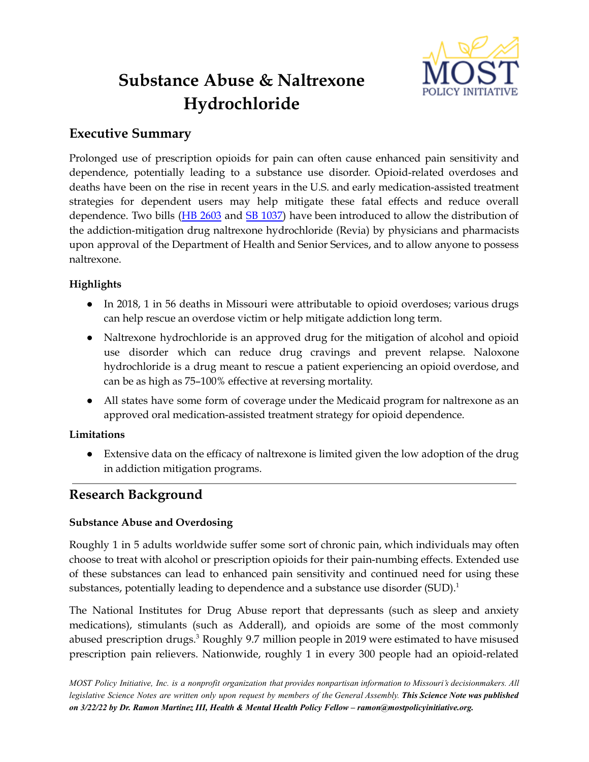

# **Substance Abuse & Naltrexone Hydrochloride**

# **Executive Summary**

Prolonged use of prescription opioids for pain can often cause enhanced pain sensitivity and dependence, potentially leading to a substance use disorder. Opioid-related overdoses and deaths have been on the rise in recent years in the U.S. and early medication-assisted treatment strategies for dependent users may help mitigate these fatal effects and reduce overall dependence. Two bills (HB [2603](https://house.mo.gov/Bill.aspx?bill=HB2603&year=2022&code=R) and SB [1037\)](https://www.senate.mo.gov/22info/BTS_Web/Bill.aspx?SessionType=R&BillID=72965675) have been introduced to allow the distribution of the addiction-mitigation drug naltrexone hydrochloride (Revia) by physicians and pharmacists upon approval of the Department of Health and Senior Services, and to allow anyone to possess naltrexone.

## **Highlights**

- In 2018, 1 in 56 deaths in Missouri were attributable to opioid overdoses; various drugs can help rescue an overdose victim or help mitigate addiction long term.
- Naltrexone hydrochloride is an approved drug for the mitigation of alcohol and opioid use disorder which can reduce drug cravings and prevent relapse. Naloxone hydrochloride is a drug meant to rescue a patient experiencing an opioid overdose, and can be as high as 75–100% effective at reversing mortality.
- All states have some form of coverage under the Medicaid program for naltrexone as an approved oral medication-assisted treatment strategy for opioid dependence.

### **Limitations**

• Extensive data on the efficacy of naltrexone is limited given the low adoption of the drug in addiction mitigation programs.

# **Research Background**

### **Substance Abuse and Overdosing**

Roughly 1 in 5 adults worldwide suffer some sort of chronic pain, which individuals may often choose to treat with alcohol or prescription opioids for their pain-numbing effects. Extended use of these substances can lead to enhanced pain sensitivity and continued need for using these substances, potentially leading to dependence and a substance use disorder  $(SUD).$ <sup>1</sup>

The National Institutes for Drug Abuse report that depressants (such as sleep and anxiety medications), stimulants (such as Adderall), and opioids are some of the most commonly abused prescription drugs. <sup>3</sup> Roughly 9.7 million people in 2019 were estimated to have misused prescription pain relievers. Nationwide, roughly 1 in every 300 people had an opioid-related

MOST Policy Initiative, Inc. is a nonprofit organization that provides nonpartisan information to Missouri's decisionmakers. All legislative Science Notes are written only upon request by members of the General Assembly. This Science Note was published *on 3/22/22 by Dr. Ramon Martinez III, Health & Mental Health Policy Fellow – ramon@mostpolicyinitiative.org.*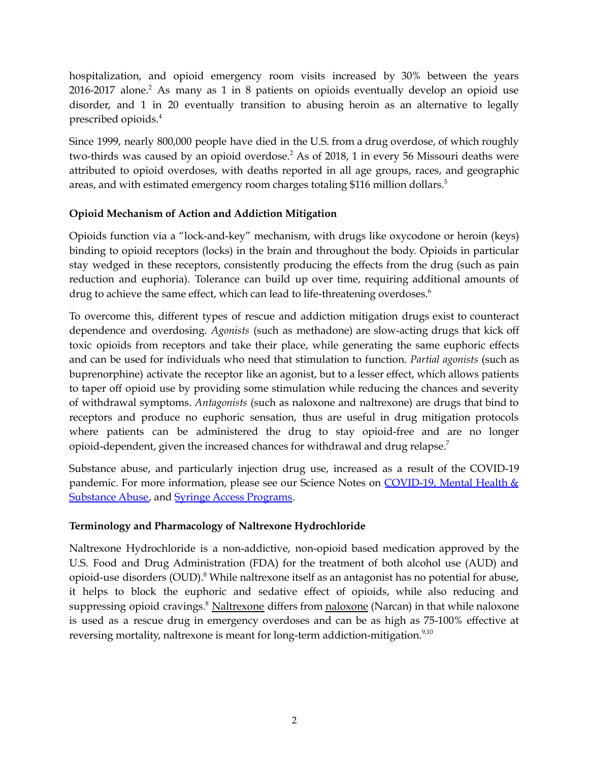hospitalization, and opioid emergency room visits increased by 30% between the years 2016-2017 alone. <sup>2</sup> As many as 1 in 8 patients on opioids eventually develop an opioid use disorder, and 1 in 20 eventually transition to abusing heroin as an alternative to legally prescribed opioids. 4

Since 1999, nearly 800,000 people have died in the U.S. from a drug overdose, of which roughly two-thirds was caused by an opioid overdose. <sup>2</sup> As of 2018, 1 in every 56 Missouri deaths were attributed to opioid overdoses, with deaths reported in all age groups, races, and geographic areas, and with estimated emergency room charges totaling \$116 million dollars. 5

### **Opioid Mechanism of Action and Addiction Mitigation**

Opioids function via a "lock-and-key" mechanism, with drugs like oxycodone or heroin (keys) binding to opioid receptors (locks) in the brain and throughout the body. Opioids in particular stay wedged in these receptors, consistently producing the effects from the drug (such as pain reduction and euphoria). Tolerance can build up over time, requiring additional amounts of drug to achieve the same effect, which can lead to life-threatening overdoses. 6

To overcome this, different types of rescue and addiction mitigation drugs exist to counteract dependence and overdosing. *Agonists* (such as methadone) are slow-acting drugs that kick off toxic opioids from receptors and take their place, while generating the same euphoric effects and can be used for individuals who need that stimulation to function. *Partial agonists* (such as buprenorphine) activate the receptor like an agonist, but to a lesser effect, which allows patients to taper off opioid use by providing some stimulation while reducing the chances and severity of withdrawal symptoms. *Antagonists* (such as naloxone and naltrexone) are drugs that bind to receptors and produce no euphoric sensation, thus are useful in drug mitigation protocols where patients can be administered the drug to stay opioid-free and are no longer opioid-dependent, given the increased chances for withdrawal and drug relapse. 7

Substance abuse, and particularly injection drug use, increased as a result of the COVID-19 pandemic. For more information, please see our Science Notes on [COVID-19,](https://mostpolicyinitiative.org/science-note/covid-19-mental-health-substance-abuse/) Mental Health & [Substance](https://mostpolicyinitiative.org/science-note/covid-19-mental-health-substance-abuse/) Abuse, and Syringe Access [Programs](https://mostpolicyinitiative.org/science-note/needle-exchange-programs/).

### **Terminology and Pharmacology of Naltrexone Hydrochloride**

Naltrexone Hydrochloride is a non-addictive, non-opioid based medication approved by the U.S. Food and Drug Administration (FDA) for the treatment of both alcohol use (AUD) and opioid-use disorders (OUD). <sup>8</sup> While naltrexone itself as an antagonist has no potential for abuse, it helps to block the euphoric and sedative effect of opioids, while also reducing and suppressing opioid cravings.<sup>8</sup> Naltrexone differs from naloxone (Narcan) in that while naloxone is used as a rescue drug in emergency overdoses and can be as high as 75-100% effective at reversing mortality, naltrexone is meant for long-term addiction-mitigation. $^{9,10}$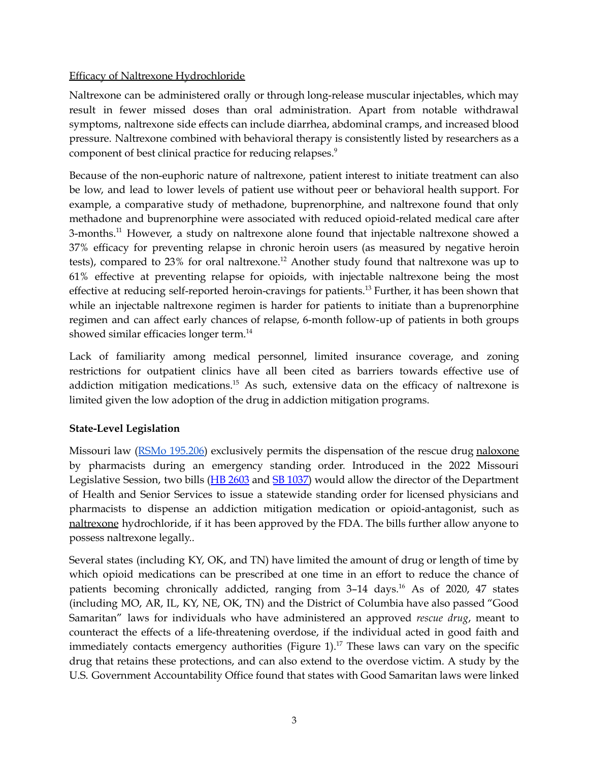#### Efficacy of Naltrexone Hydrochloride

Naltrexone can be administered orally or through long-release muscular injectables, which may result in fewer missed doses than oral administration. Apart from notable withdrawal symptoms, naltrexone side effects can include diarrhea, abdominal cramps, and increased blood pressure. Naltrexone combined with behavioral therapy is consistently listed by researchers as a component of best clinical practice for reducing relapses. 9

Because of the non-euphoric nature of naltrexone, patient interest to initiate treatment can also be low, and lead to lower levels of patient use without peer or behavioral health support. For example, a comparative study of methadone, buprenorphine, and naltrexone found that only methadone and buprenorphine were associated with reduced opioid-related medical care after 3-months. <sup>11</sup> However, a study on naltrexone alone found that injectable naltrexone showed a 37% efficacy for preventing relapse in chronic heroin users (as measured by negative heroin tests), compared to 23% for oral naltrexone.<sup>12</sup> Another study found that naltrexone was up to 61% effective at preventing relapse for opioids, with injectable naltrexone being the most effective at reducing self-reported heroin-cravings for patients. <sup>13</sup> Further, it has been shown that while an injectable naltrexone regimen is harder for patients to initiate than a buprenorphine regimen and can affect early chances of relapse, 6-month follow-up of patients in both groups showed similar efficacies longer term. 14

Lack of familiarity among medical personnel, limited insurance coverage, and zoning restrictions for outpatient clinics have all been cited as barriers towards effective use of addiction mitigation medications.<sup>15</sup> As such, extensive data on the efficacy of naltrexone is limited given the low adoption of the drug in addiction mitigation programs.

### **State-Level Legislation**

Missouri law (**RSMo [195.206](https://revisor.mo.gov/main/OneSection.aspx?section=195.206#:~:text=195.206.,%E2%80%94%20immunity%20from%20liability%2C%20when.)**) exclusively permits the dispensation of the rescue drug naloxone by pharmacists during an emergency standing order. Introduced in the 2022 Missouri Legislative Session, two bills (HB [2603](https://house.mo.gov/Bill.aspx?bill=HB2603&year=2022&code=R) and SB [1037\)](https://www.senate.mo.gov/22info/BTS_Web/Bill.aspx?SessionType=R&BillID=72965675) would allow the director of the Department of Health and Senior Services to issue a statewide standing order for licensed physicians and pharmacists to dispense an addiction mitigation medication or opioid-antagonist, such as naltrexone hydrochloride, if it has been approved by the FDA. The bills further allow anyone to possess naltrexone legally..

Several states (including KY, OK, and TN) have limited the amount of drug or length of time by which opioid medications can be prescribed at one time in an effort to reduce the chance of patients becoming chronically addicted, ranging from 3–14 days. <sup>16</sup> As of 2020, 47 states (including MO, AR, IL, KY, NE, OK, TN) and the District of Columbia have also passed "Good Samaritan" laws for individuals who have administered an approved *rescue drug*, meant to counteract the effects of a life-threatening overdose, if the individual acted in good faith and immediately contacts emergency authorities (Figure 1). <sup>17</sup> These laws can vary on the specific drug that retains these protections, and can also extend to the overdose victim. A study by the U.S. Government Accountability Office found that states with Good Samaritan laws were linked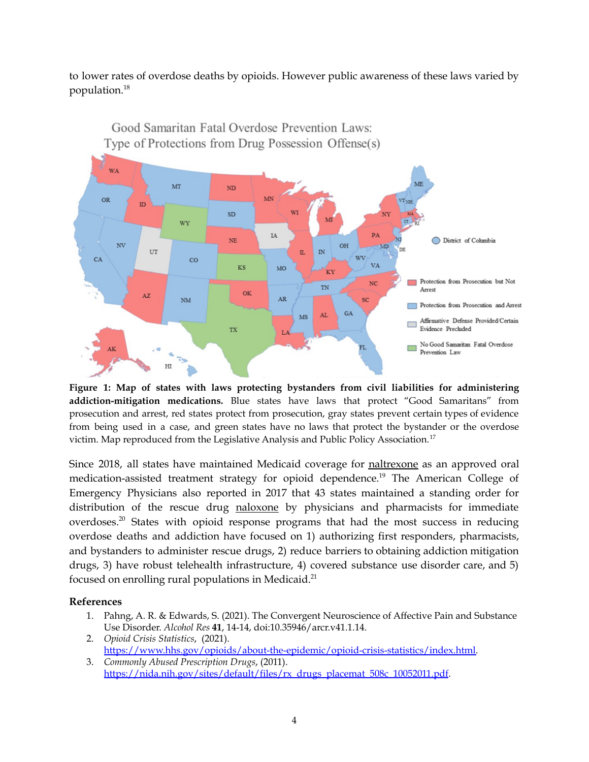to lower rates of overdose deaths by opioids. However public awareness of these laws varied by population. 18



Good Samaritan Fatal Overdose Prevention Laws:

**Figure 1: Map of states with laws protecting bystanders from civil liabilities for administering addiction-mitigation medications.** Blue states have laws that protect "Good Samaritans" from prosecution and arrest, red states protect from prosecution, gray states prevent certain types of evidence from being used in a case, and green states have no laws that protect the bystander or the overdose victim. Map reproduced from the Legislative Analysis and Public Policy Association.<sup>17</sup>

Since 2018, all states have maintained Medicaid coverage for naltrexone as an approved oral medication-assisted treatment strategy for opioid dependence. <sup>19</sup> The American College of Emergency Physicians also reported in 2017 that 43 states maintained a standing order for distribution of the rescue drug naloxone by physicians and pharmacists for immediate overdoses.<sup>20</sup> States with opioid response programs that had the most success in reducing overdose deaths and addiction have focused on 1) authorizing first responders, pharmacists, and bystanders to administer rescue drugs, 2) reduce barriers to obtaining addiction mitigation drugs, 3) have robust telehealth infrastructure, 4) covered substance use disorder care, and 5) focused on enrolling rural populations in Medicaid.<sup>21</sup>

#### **References**

- 1. Pahng, A. R. & Edwards, S. (2021). The Convergent Neuroscience of Affective Pain and Substance Use Disorder. *Alcohol Res* **41**, 14-14, doi:10.35946/arcr.v41.1.14.
- 2. *Opioid Crisis Statistics*, (2021). [https://www.hhs.gov/opioids/about-the-epidemic/opioid-crisis-statistics/index.html.](https://www.hhs.gov/opioids/about-the-epidemic/opioid-crisis-statistics/index.html)
- 3. *Commonly Abused Prescription Drugs*, (2011). [https://nida.nih.gov/sites/default/files/rx\\_drugs\\_placemat\\_508c\\_10052011.pdf](https://nida.nih.gov/sites/default/files/rx_drugs_placemat_508c_10052011.pdf).